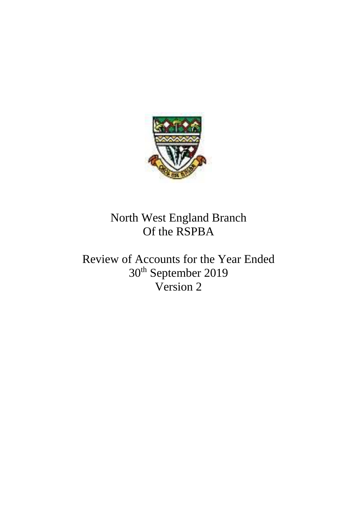

North West England Branch Of the RSPBA

Review of Accounts for the Year Ended 30th September 2019 Version 2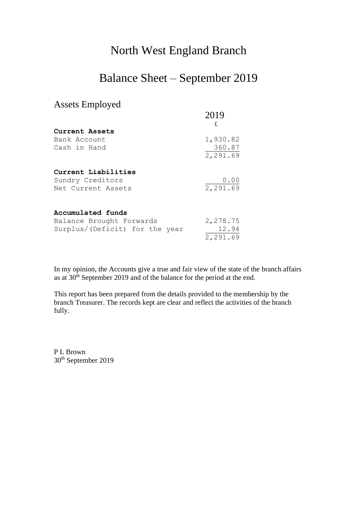## North West England Branch

## Balance Sheet – September 2019

## Assets Employed

|                                | 2019<br>£ |
|--------------------------------|-----------|
| Current Assets                 |           |
| Bank Account                   | 1,930.82  |
| Cash in Hand                   | 360.87    |
|                                | 2,291.69  |
| Current Liabilities            |           |
| Sundry Creditors               | 0.00      |
| Net Current Assets             | 2,291.69  |
| Accumulated funds              |           |
| Balance Brought Forwards       | 2,278.75  |
| Surplus/(Deficit) for the year | 12.94     |

In my opinion, the Accounts give a true and fair view of the state of the branch affairs as at 30<sup>th</sup> September 2019 and of the balance for the period at the end.

2,291.69

This report has been prepared from the details provided to the membership by the branch Treasurer. The records kept are clear and reflect the activities of the branch fully.

P L Brown 30th September 2019